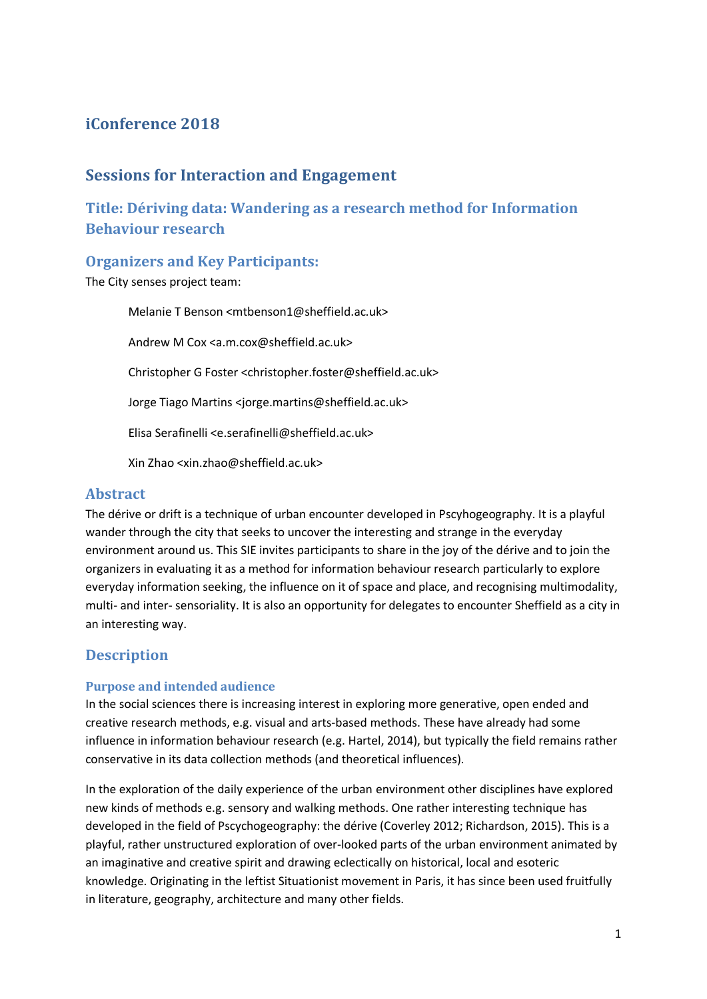# **iConference 2018**

## **Sessions for Interaction and Engagement**

**Title: Dériving data: Wandering as a research method for Information Behaviour research**

### **Organizers and Key Participants:**

The City senses project team:

Melanie T Benson <mtbenson1@sheffield.ac.uk> Andrew M Cox <a.m.cox@sheffield.ac.uk> Christopher G Foster <christopher.foster@sheffield.ac.uk> Jorge Tiago Martins <jorge.martins@sheffield.ac.uk> Elisa Serafinelli <e.serafinelli@sheffield.ac.uk> Xin Zhao <xin.zhao@sheffield.ac.uk>

### **Abstract**

The dérive or drift is a technique of urban encounter developed in Pscyhogeography. It is a playful wander through the city that seeks to uncover the interesting and strange in the everyday environment around us. This SIE invites participants to share in the joy of the dérive and to join the organizers in evaluating it as a method for information behaviour research particularly to explore everyday information seeking, the influence on it of space and place, and recognising multimodality, multi- and inter- sensoriality. It is also an opportunity for delegates to encounter Sheffield as a city in an interesting way.

# **Description**

#### **Purpose and intended audience**

In the social sciences there is increasing interest in exploring more generative, open ended and creative research methods, e.g. visual and arts-based methods. These have already had some influence in information behaviour research (e.g. Hartel, 2014), but typically the field remains rather conservative in its data collection methods (and theoretical influences).

In the exploration of the daily experience of the urban environment other disciplines have explored new kinds of methods e.g. sensory and walking methods. One rather interesting technique has developed in the field of Pscychogeography: the dérive (Coverley 2012; Richardson, 2015). This is a playful, rather unstructured exploration of over-looked parts of the urban environment animated by an imaginative and creative spirit and drawing eclectically on historical, local and esoteric knowledge. Originating in the leftist Situationist movement in Paris, it has since been used fruitfully in literature, geography, architecture and many other fields.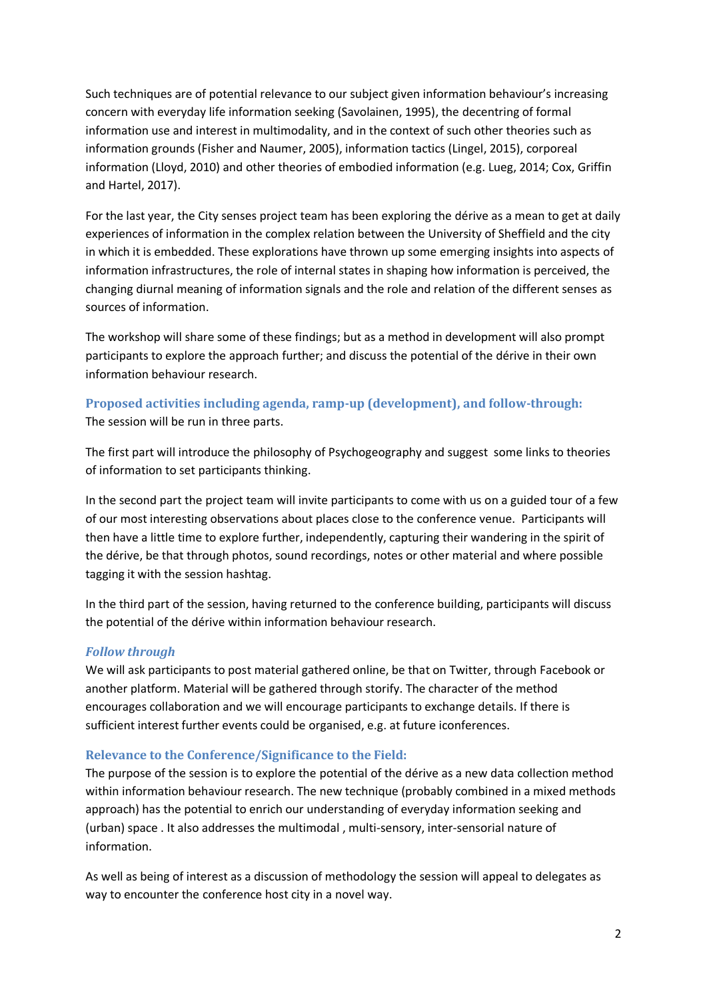Such techniques are of potential relevance to our subject given information behaviour's increasing concern with everyday life information seeking (Savolainen, 1995), the decentring of formal information use and interest in multimodality, and in the context of such other theories such as information grounds (Fisher and Naumer, 2005), information tactics (Lingel, 2015), corporeal information (Lloyd, 2010) and other theories of embodied information (e.g. Lueg, 2014; Cox, Griffin and Hartel, 2017).

For the last year, the City senses project team has been exploring the dérive as a mean to get at daily experiences of information in the complex relation between the University of Sheffield and the city in which it is embedded. These explorations have thrown up some emerging insights into aspects of information infrastructures, the role of internal states in shaping how information is perceived, the changing diurnal meaning of information signals and the role and relation of the different senses as sources of information.

The workshop will share some of these findings; but as a method in development will also prompt participants to explore the approach further; and discuss the potential of the dérive in their own information behaviour research.

### **Proposed activities including agenda, ramp-up (development), and follow-through:** The session will be run in three parts.

The first part will introduce the philosophy of Psychogeography and suggest some links to theories of information to set participants thinking.

In the second part the project team will invite participants to come with us on a guided tour of a few of our most interesting observations about places close to the conference venue. Participants will then have a little time to explore further, independently, capturing their wandering in the spirit of the dérive, be that through photos, sound recordings, notes or other material and where possible tagging it with the session hashtag.

In the third part of the session, having returned to the conference building, participants will discuss the potential of the dérive within information behaviour research.

#### *Follow through*

We will ask participants to post material gathered online, be that on Twitter, through Facebook or another platform. Material will be gathered through storify. The character of the method encourages collaboration and we will encourage participants to exchange details. If there is sufficient interest further events could be organised, e.g. at future iconferences.

#### **Relevance to the Conference/Significance to the Field:**

The purpose of the session is to explore the potential of the dérive as a new data collection method within information behaviour research. The new technique (probably combined in a mixed methods approach) has the potential to enrich our understanding of everyday information seeking and (urban) space . It also addresses the multimodal , multi-sensory, inter-sensorial nature of information.

As well as being of interest as a discussion of methodology the session will appeal to delegates as way to encounter the conference host city in a novel way.